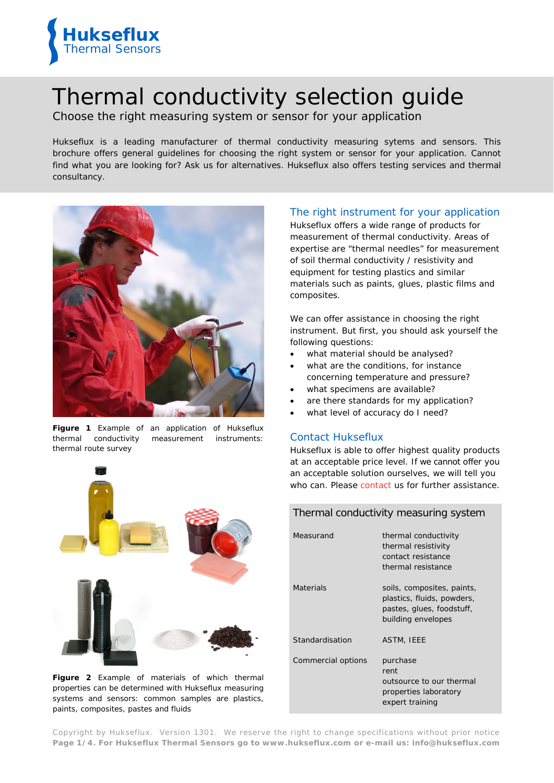

# Thermal conductivity selection guide

Choose the right measuring system or sensor for your application

*Hukseflux is a leading manufacturer of thermal conductivity measuring sytems and sensors. This brochure offers general guidelines for choosing the right system or sensor for your application. Cannot find what you are looking for? Ask us for alternatives. Hukseflux also offers testing services and thermal consultancy.*



**Figure 1** *Example of an application of Hukseflux thermal conductivity measurement instruments: thermal route survey*



**Figure 2** *Example of materials of which thermal properties can be determined with Hukseflux measuring systems and sensors: common samples are plastics, paints, composites, pastes and fluids*

# The right instrument for your application

Hukseflux offers a wide range of products for measurement of thermal conductivity. Areas of expertise are "thermal needles" for measurement of soil thermal conductivity / resistivity and equipment for testing plastics and similar materials such as paints, glues, plastic films and composites.

We can offer assistance in choosing the right instrument. But first, you should ask yourself the following questions:

- what material should be analysed?
- what are the conditions, for instance concerning temperature and pressure?
- what specimens are available?
- are there standards for my application?
- what level of accuracy do I need?

### Contact Hukseflux

Hukseflux is able to offer highest quality products at an acceptable price level. If we cannot offer you an acceptable solution ourselves, we will tell you who can. Please [contact](mailto:info@hukseflux.com?subject=RE:%20thermal%20conductivity%20selection%20guide) us for further assistance.

| Thermal conductivity measuring system |                                                                                                             |  |  |
|---------------------------------------|-------------------------------------------------------------------------------------------------------------|--|--|
| Measurand                             | thermal conductivity<br>thermal resistivity<br>contact resistance<br>thermal resistance                     |  |  |
| Materials                             | soils, composites, paints,<br>plastics, fluids, powders,<br>pastes, glues, foodstuff,<br>building envelopes |  |  |
| Standardisation                       | <b>ASTM, IEEE</b>                                                                                           |  |  |
| Commercial options                    | purchase<br>rent<br>outsource to our thermal<br>properties laboratory<br>expert training                    |  |  |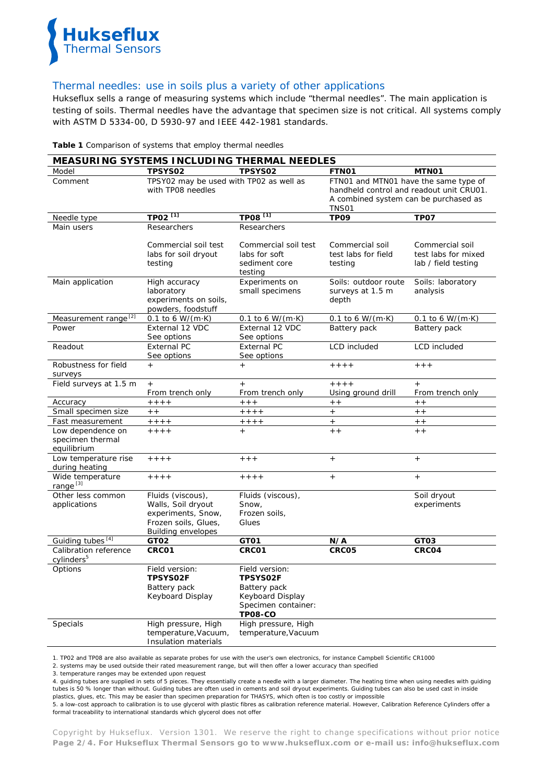

#### Thermal needles: use in soils plus a variety of other applications

Hukseflux sells a range of measuring systems which include "thermal needles". The main application is testing of soils. Thermal needles have the advantage that specimen size is not critical. All systems comply with ASTM D 5334-00, D 5930-97 and IEEE 442-1981 standards.

|                                                      | <u>MEASURING SYSTEMS INCLUDING THERMAL NEEDLES</u>                                                                 |                                                                                                                |                                                                                                                                            |                                                               |
|------------------------------------------------------|--------------------------------------------------------------------------------------------------------------------|----------------------------------------------------------------------------------------------------------------|--------------------------------------------------------------------------------------------------------------------------------------------|---------------------------------------------------------------|
| Model                                                | <b>TPSYS02</b>                                                                                                     | TPSYS02                                                                                                        | FTN01                                                                                                                                      | MTN01                                                         |
| Comment                                              | TPSY02 may be used with TP02 as well as<br>with TP08 needles                                                       |                                                                                                                | FTN01 and MTN01 have the same type of<br>handheld control and readout unit CRU01.<br>A combined system can be purchased as<br><b>TNS01</b> |                                                               |
| Needle type                                          | TP02 <sup>[1]</sup>                                                                                                | TP08 <sup>[1]</sup>                                                                                            | TP <sub>09</sub>                                                                                                                           | TP <sub>07</sub>                                              |
| Main users                                           | Researchers                                                                                                        | <b>Researchers</b>                                                                                             |                                                                                                                                            |                                                               |
|                                                      | Commercial soil test<br>labs for soil dryout<br>testing                                                            | Commercial soil test<br>labs for soft<br>sediment core<br>testing                                              | Commercial soil<br>test labs for field<br>testing                                                                                          | Commercial soil<br>test labs for mixed<br>lab / field testing |
| Main application                                     | High accuracy<br>laboratory<br>experiments on soils,<br>powders, foodstuff                                         | Experiments on<br>small specimens                                                                              | Soils: outdoor route<br>surveys at 1.5 m<br>depth                                                                                          | Soils: laboratory<br>analysis                                 |
| Measurement range <sup>[2]</sup>                     | 0.1 to 6 W/(m $\cdot$ K)                                                                                           | $0.1$ to 6 W/(m $\cdot$ K)                                                                                     | $0.1$ to 6 W/(m $\cdot$ K)                                                                                                                 | $0.1$ to 6 W/(m $\cdot$ K)                                    |
| Power                                                | External 12 VDC<br>See options                                                                                     | External 12 VDC<br>See options                                                                                 | Battery pack                                                                                                                               | Battery pack                                                  |
| Readout                                              | <b>External PC</b><br>See options                                                                                  | <b>External PC</b><br>See options                                                                              | LCD included                                                                                                                               | <b>LCD</b> included                                           |
| Robustness for field<br>surveys                      | $+$                                                                                                                | $+$                                                                                                            | $+ + + +$                                                                                                                                  | $+ + +$                                                       |
| Field surveys at 1.5 m                               | $^{+}$<br>From trench only                                                                                         | $\begin{array}{c} + \end{array}$<br>From trench only                                                           | $+ + + +$<br>Using ground drill                                                                                                            | $+$<br>From trench only                                       |
| Accuracy                                             | $++++$                                                                                                             | $++$                                                                                                           | $+ +$                                                                                                                                      | $+ +$                                                         |
| Small specimen size                                  | $+ +$                                                                                                              | $++++$                                                                                                         | $+$                                                                                                                                        | $+ +$                                                         |
| Fast measurement                                     | $++++$                                                                                                             | $++++$                                                                                                         | $^{+}$                                                                                                                                     | $+ +$                                                         |
| Low dependence on<br>specimen thermal<br>equilibrium | $+ + + +$                                                                                                          | $+$                                                                                                            | $+ +$                                                                                                                                      | $+ +$                                                         |
| Low temperature rise<br>during heating               | $+ + + +$                                                                                                          | $+ + +$                                                                                                        | $+$                                                                                                                                        | $+$                                                           |
| Wide temperature<br>range <sup>[3]</sup>             | $+ + + +$                                                                                                          | $+ + + +$                                                                                                      | $^{+}$                                                                                                                                     | $+$                                                           |
| Other less common<br>applications                    | Fluids (viscous),<br>Walls, Soil dryout<br>experiments, Snow,<br>Frozen soils, Glues,<br><b>Building envelopes</b> | Fluids (viscous),<br>Snow,<br>Frozen soils,<br>Glues                                                           |                                                                                                                                            | Soil dryout<br>experiments                                    |
| Guiding tubes [4]                                    | GT02                                                                                                               | GT01                                                                                                           | N/A                                                                                                                                        | GT03                                                          |
| Calibration reference<br>cylinders <sup>5</sup>      | CRC01                                                                                                              | CRC01                                                                                                          | CRC05                                                                                                                                      | CRCO4                                                         |
| Options                                              | Field version:<br><b>TPSYSO2F</b><br>Battery pack<br>Keyboard Display                                              | Field version:<br><b>TPSYS02F</b><br>Battery pack<br>Keyboard Display<br>Specimen container:<br><b>TP08-CO</b> |                                                                                                                                            |                                                               |
| Specials                                             | High pressure, High<br>temperature, Vacuum,<br>Insulation materials                                                | High pressure, High<br>temperature, Vacuum                                                                     |                                                                                                                                            |                                                               |

**Table 1** *Comparison of systems that employ thermal needles*

1. TP02 and TP08 are also available as separate probes for use with the user's own electronics, for instance Campbell Scientific CR1000

2. systems may be used outside their rated measurement range, but will then offer a lower accuracy than specified

3. temperature ranges may be extended upon request

4. guiding tubes are supplied in sets of 5 pieces. They essentially create a needle with a larger diameter. The heating time when using needles with guiding tubes is 50 % longer than without. Guiding tubes are often used in cements and soil dryout experiments. Guiding tubes can also be used cast in inside plastics, glues, etc. This may be easier than specimen preparation for THASYS, which often is too costly or impossible

5. a low-cost approach to calibration is to use glycerol with plastic fibres as calibration reference material. However, Calibration Reference Cylinders offer a formal traceability to international standards which glycerol does not offer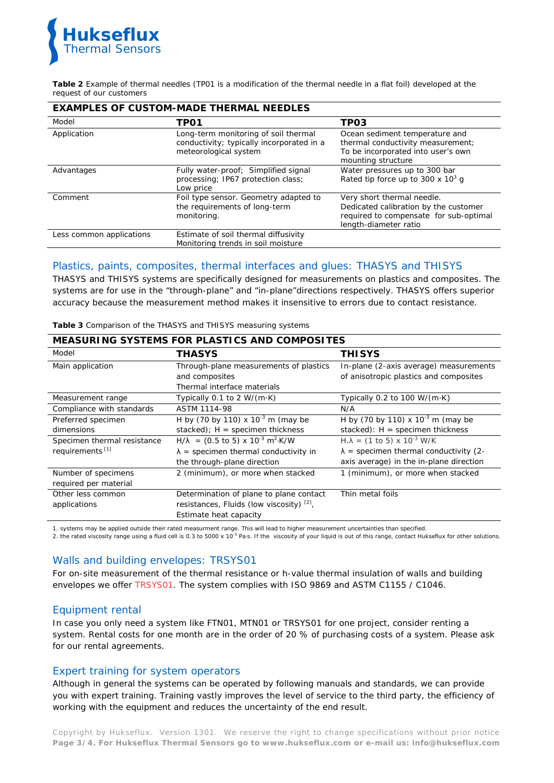

**Table 2** *Example of thermal needles (TP01 is a modification of the thermal needle in a flat foil) developed at the request of our customers*

| <b>EXAMPLES OF CUSTOM-MADE THERMAL NEEDLES</b> |                                                                                                            |                                                                                                                                        |  |  |
|------------------------------------------------|------------------------------------------------------------------------------------------------------------|----------------------------------------------------------------------------------------------------------------------------------------|--|--|
| Model                                          | TPO1                                                                                                       | TP03                                                                                                                                   |  |  |
| Application                                    | Long-term monitoring of soil thermal<br>conductivity; typically incorporated in a<br>meteorological system | Ocean sediment temperature and<br>thermal conductivity measurement;<br>To be incorporated into user's own<br>mounting structure        |  |  |
| Advantages                                     | Fully water-proof; Simplified signal<br>processing; IP67 protection class;<br>Low price                    | Water pressures up to 300 bar<br>Rated tip force up to 300 x $10^3$ g                                                                  |  |  |
| Comment                                        | Foil type sensor. Geometry adapted to<br>the requirements of long-term<br>monitoring.                      | Very short thermal needle.<br>Dedicated calibration by the customer<br>required to compensate for sub-optimal<br>length-diameter ratio |  |  |
| Less common applications                       | Estimate of soil thermal diffusivity<br>Monitoring trends in soil moisture                                 |                                                                                                                                        |  |  |

# Plastics, paints, composites, thermal interfaces and glues: THASYS and THISYS

THASYS and THISYS systems are specifically designed for measurements on plastics and composites. The systems are for use in the "through-plane" and "in-plane"directions respectively. THASYS offers superior accuracy because the measurement method makes it insensitive to errors due to contact resistance.

| <b>MEASURING SYSTEMS FOR PLASTICS AND COMPOSITES</b> |                                                                 |                                                            |  |  |
|------------------------------------------------------|-----------------------------------------------------------------|------------------------------------------------------------|--|--|
| Model                                                | <b>THASYS</b>                                                   | <b>THISYS</b>                                              |  |  |
| Main application                                     | Through-plane measurements of plastics                          | In-plane (2-axis average) measurements                     |  |  |
|                                                      | and composites                                                  | of anisotropic plastics and composites                     |  |  |
|                                                      | Thermal interface materials                                     |                                                            |  |  |
| Measurement range                                    | Typically 0.1 to 2 $W/(m \cdot K)$                              | Typically 0.2 to 100 $W/(m \cdot K)$                       |  |  |
| Compliance with standards                            | ASTM 1114-98                                                    | N/A                                                        |  |  |
| Preferred specimen                                   | H by (70 by 110) x $10^{-3}$ m (may be                          | H by (70 by 110) x $10^{-3}$ m (may be                     |  |  |
| dimensions                                           | stacked); $H =$ specimen thickness                              | stacked): $H =$ specimen thickness                         |  |  |
| Specimen thermal resistance                          | $H/\lambda$ = (0.5 to 5) x 10 <sup>-3</sup> m <sup>2</sup> ·K/W | $H.\lambda = (1 \text{ to } 5) \times 10^{-3} \text{ W/K}$ |  |  |
| requirements <sup>[1]</sup>                          | $\lambda$ = specimen thermal conductivity in                    | $\lambda$ = specimen thermal conductivity (2-              |  |  |
|                                                      | the through-plane direction                                     | axis average) in the in-plane direction                    |  |  |
| Number of specimens                                  | 2 (minimum), or more when stacked                               | 1 (minimum), or more when stacked                          |  |  |
| required per material                                |                                                                 |                                                            |  |  |
| Other less common                                    | Determination of plane to plane contact                         | Thin metal foils                                           |  |  |
| applications                                         | resistances, Fluids (low viscosity) [2],                        |                                                            |  |  |
|                                                      | Estimate heat capacity                                          |                                                            |  |  |

**Table 3** *Comparison of the THASYS and THISYS measuring systems*

1. systems may be applied outside their rated measurment range. This will lead to higher measurement uncertainties than specified.<br>2. the rated viscosity range using a fluid cell is 0.3 to 5000 x 10<sup>-3</sup> Pa·s. If the viscos

# Walls and building envelopes: TRSYS01

For on-site measurement of the thermal resistance or h-value thermal insulation of walls and building envelopes we offer [TRSYS01.](http://www.hukseflux.com/product/trsys01) The system complies with ISO 9869 and ASTM C1155 / C1046.

# Equipment rental

In case you only need a system like FTN01, MTN01 or TRSYS01 for one project, consider renting a system. Rental costs for one month are in the order of 20 % of purchasing costs of a system. Please ask for our rental agreements.

### Expert training for system operators

Although in general the systems can be operated by following manuals and standards, we can provide you with expert training. Training vastly improves the level of service to the third party, the efficiency of working with the equipment and reduces the uncertainty of the end result.

Copyright by Hukseflux. Version 1301. We reserve the right to change specifications without prior notice **Page 3/4. For Hukseflux Thermal Sensors go to [www.hukseflux.com](http://www.hukseflux.com/) or e-mail us: [info@hukseflux.com](mailto:info@hukseflux.com?subject=brochure)**